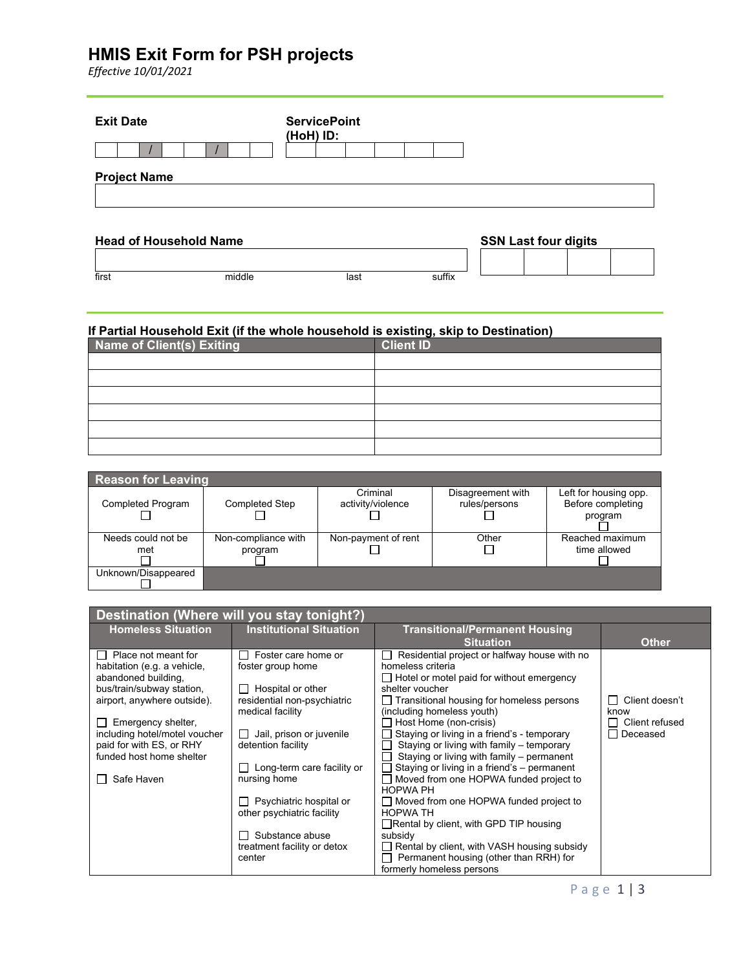# **HMIS Exit Form for PSH projects**

*Effective 10/01/2021*

|                               | <b>ServicePoint</b><br>(HoH) ID: |  |  |                             |  |
|-------------------------------|----------------------------------|--|--|-----------------------------|--|
|                               |                                  |  |  |                             |  |
| <b>Project Name</b>           |                                  |  |  |                             |  |
| <b>Head of Household Name</b> |                                  |  |  | <b>SSN Last four digits</b> |  |

#### **If Partial Household Exit (if the whole household is existing, skip to Destination)**

first middle last suffix

| Name of Client(s) Exiting | <b>Client ID</b> |
|---------------------------|------------------|
|                           |                  |
|                           |                  |
|                           |                  |
|                           |                  |
|                           |                  |
|                           |                  |

| <b>Reason for Leaving</b> |                       |                     |                   |                       |
|---------------------------|-----------------------|---------------------|-------------------|-----------------------|
|                           |                       | Criminal            | Disagreement with | Left for housing opp. |
| <b>Completed Program</b>  | <b>Completed Step</b> | activity/violence   | rules/persons     | Before completing     |
|                           |                       |                     |                   | program               |
|                           |                       |                     |                   |                       |
| Needs could not be        | Non-compliance with   | Non-payment of rent | Other             | Reached maximum       |
| met                       | program               |                     |                   | time allowed          |
|                           |                       |                     |                   |                       |
| Unknown/Disappeared       |                       |                     |                   |                       |
|                           |                       |                     |                   |                       |

| Destination (Where will you stay tonight?)          |                                |                                                                       |                            |  |
|-----------------------------------------------------|--------------------------------|-----------------------------------------------------------------------|----------------------------|--|
| <b>Homeless Situation</b>                           | <b>Institutional Situation</b> | <b>Transitional/Permanent Housing</b>                                 |                            |  |
| $\Box$ Place not meant for                          | Foster care home or            | <b>Situation</b><br>Residential project or halfway house with no      | <b>Other</b>               |  |
| habitation (e.g. a vehicle,                         | foster group home              | homeless criteria                                                     |                            |  |
| abandoned building,                                 |                                | $\Box$ Hotel or motel paid for without emergency                      |                            |  |
| bus/train/subway station,                           | Hospital or other              | shelter voucher                                                       |                            |  |
| airport, anywhere outside).                         | residential non-psychiatric    | $\Box$ Transitional housing for homeless persons                      | Client doesn't             |  |
|                                                     | medical facility               | (including homeless youth)                                            | know                       |  |
| Emergency shelter,<br>including hotel/motel voucher | Jail, prison or juvenile       | Host Home (non-crisis)<br>Staying or living in a friend's - temporary | Client refused<br>Deceased |  |
| paid for with ES, or RHY                            | detention facility             | Staying or living with family - temporary                             |                            |  |
| funded host home shelter                            |                                | Staying or living with family - permanent                             |                            |  |
|                                                     | Long-term care facility or     | Staying or living in a friend's - permanent                           |                            |  |
| Safe Haven                                          | nursing home                   | Moved from one HOPWA funded project to                                |                            |  |
|                                                     | Psychiatric hospital or        | <b>HOPWA PH</b><br>□ Moved from one HOPWA funded project to           |                            |  |
|                                                     | other psychiatric facility     | <b>HOPWA TH</b>                                                       |                            |  |
|                                                     |                                | $\Box$ Rental by client, with GPD TIP housing                         |                            |  |
|                                                     | Substance abuse                | subsidy                                                               |                            |  |
|                                                     | treatment facility or detox    | Rental by client, with VASH housing subsidy                           |                            |  |
|                                                     | center                         | Permanent housing (other than RRH) for                                |                            |  |
|                                                     |                                | formerly homeless persons                                             |                            |  |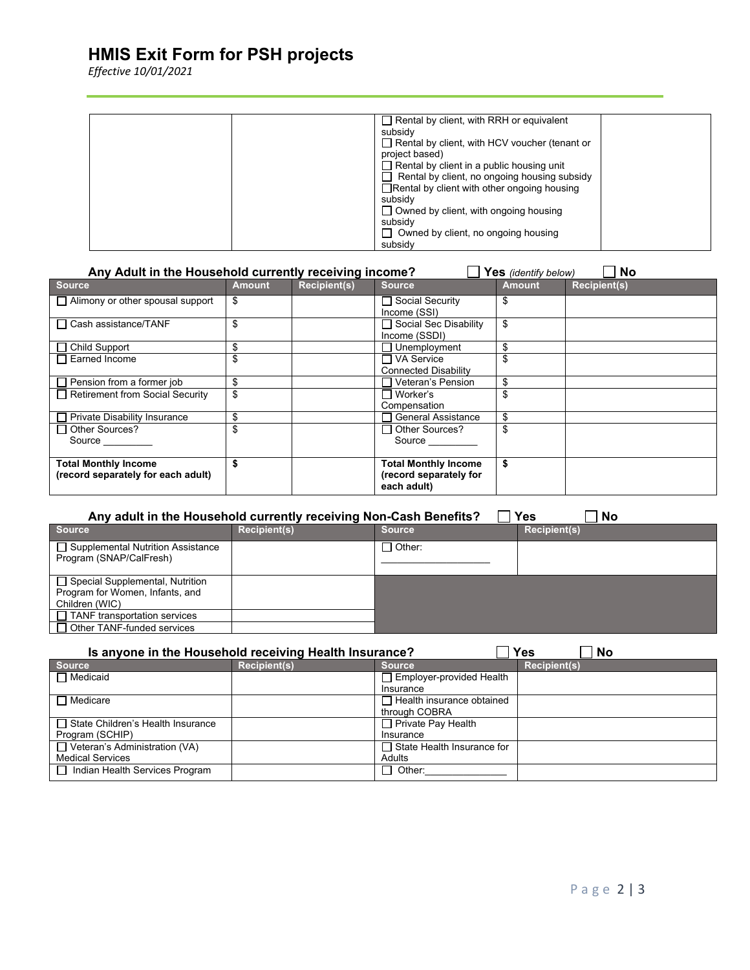# **HMIS Exit Form for PSH projects**

*Effective 10/01/2021*

| $\Box$ Rental by client, with RRH or equivalent      |
|------------------------------------------------------|
| subsidy                                              |
| $\Box$ Rental by client, with HCV voucher (tenant or |
| project based)                                       |
| $\Box$ Rental by client in a public housing unit     |
| $\Box$ Rental by client, no ongoing housing subsidy  |
| $\Box$ Rental by client with other ongoing housing   |
| subsidy                                              |
| $\Box$ Owned by client, with ongoing housing         |
| subsidy                                              |
| $\Box$ Owned by client, no ongoing housing           |
| subsidy                                              |

| Any Adult in the Household currently receiving income?<br><b>No</b><br>Yes (identify below) |               |                     |                                                                      |        |                     |
|---------------------------------------------------------------------------------------------|---------------|---------------------|----------------------------------------------------------------------|--------|---------------------|
| <b>Source</b>                                                                               | <b>Amount</b> | <b>Recipient(s)</b> | <b>Source</b>                                                        | Amount | <b>Recipient(s)</b> |
| $\Box$ Alimony or other spousal support                                                     | \$            |                     | □ Social Security<br>Income (SSI)                                    | \$     |                     |
| $\Box$ Cash assistance/TANF                                                                 | \$            |                     | □ Social Sec Disability<br>Income (SSDI)                             | \$     |                     |
| $\Box$ Child Support                                                                        | \$            |                     | Unemployment                                                         | \$     |                     |
| $\Box$ Earned Income                                                                        | \$            |                     | □ VA Service<br><b>Connected Disability</b>                          |        |                     |
| $\Box$ Pension from a former job                                                            | \$            |                     | Veteran's Pension                                                    | \$     |                     |
| Retirement from Social Security                                                             | \$            |                     | $\Box$ Worker's<br>Compensation                                      |        |                     |
| Private Disability Insurance                                                                | \$            |                     | <b>General Assistance</b>                                            |        |                     |
| □ Other Sources?<br>Source                                                                  | \$            |                     | $\Box$ Other Sources?<br>Source                                      |        |                     |
| <b>Total Monthly Income</b><br>(record separately for each adult)                           |               |                     | <b>Total Monthly Income</b><br>(record separately for<br>each adult) | \$     |                     |

| <b>Yes</b><br>Any adult in the Household currently receiving Non-Cash Benefits?<br>No |                     |               |                     |  |
|---------------------------------------------------------------------------------------|---------------------|---------------|---------------------|--|
| <b>Source</b>                                                                         | <b>Recipient(s)</b> | <b>Source</b> | <b>Recipient(s)</b> |  |
| □ Supplemental Nutrition Assistance<br>Program (SNAP/CalFresh)                        |                     | ∃ Other:      |                     |  |
| □ Special Supplemental, Nutrition                                                     |                     |               |                     |  |
| Program for Women, Infants, and                                                       |                     |               |                     |  |
| Children (WIC)                                                                        |                     |               |                     |  |
| $\Box$ TANF transportation services                                                   |                     |               |                     |  |
| $\Box$ Other TANF-funded services                                                     |                     |               |                     |  |

| <b>Yes</b><br>Is anyone in the Household receiving Health Insurance?<br><b>No</b> |                     |                                   |                     |
|-----------------------------------------------------------------------------------|---------------------|-----------------------------------|---------------------|
| <b>Source</b>                                                                     | <b>Recipient(s)</b> | <b>Source</b>                     | <b>Recipient(s)</b> |
| $\Box$ Medicaid                                                                   |                     | $\Box$ Employer-provided Health   |                     |
|                                                                                   |                     | Insurance                         |                     |
| $\Box$ Medicare                                                                   |                     | $\Box$ Health insurance obtained  |                     |
|                                                                                   |                     | through COBRA                     |                     |
| State Children's Health Insurance                                                 |                     | $\Box$ Private Pay Health         |                     |
| Program (SCHIP)                                                                   |                     | Insurance                         |                     |
| $\Box$ Veteran's Administration (VA)                                              |                     | $\Box$ State Health Insurance for |                     |
| <b>Medical Services</b>                                                           |                     | Adults                            |                     |
| □ Indian Health Services Program                                                  |                     | $\sqcap$ Other:                   |                     |